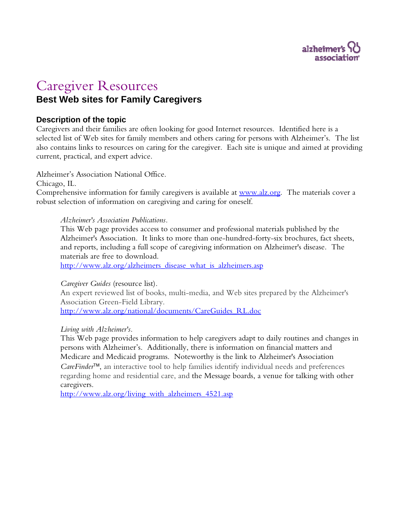

## Caregiver Resources **Best Web sites for Family Caregivers**

## **Description of the topic**

Caregivers and their families are often looking for good Internet resources. Identified here is a selected list of Web sites for family members and others caring for persons with Alzheimer's. The list also contains links to resources on caring for the caregiver. Each site is unique and aimed at providing current, practical, and expert advice.

Alzheimer's Association National Office.

Chicago, IL.

Comprehensive information for family caregivers is available at [www.alz.org.](http://www.alz.org/) The materials cover a robust selection of information on caregiving and caring for oneself.

## *Alzheimer's Association Publications.*

This Web page provides access to consumer and professional materials published by the Alzheimer's Association. It links to more than one-hundred-forty-six brochures, fact sheets, and reports, including a full scope of caregiving information on Alzheimer's disease. The materials are free to download.

[http://www.alz.org/alzheimers\\_disease\\_what\\_is\\_alzheimers.asp](http://www.alz.org/alzheimers_disease_what_is_alzheimers.asp)

*Caregiver Guides* (resource list)*.* 

An expert reviewed list of books, multi-media, and Web sites prepared by the Alzheimer's Association Green-Field Library. [http://www.alz.org/national/documents/CareGuides\\_RL.doc](http://www.alz.org/national/documents/CareGuides_RL.doc)

*Living with Alzheimer's.* 

This Web page provides information to help caregivers adapt to daily routines and changes in persons with Alzheimer's. Additionally, there is information on financial matters and Medicare and Medicaid programs. Noteworthy is the link to Alzheimer's Association *CareFinder*™, an interactive tool to help families identify individual needs and preferences regarding home and residential care, and the Message boards, a venue for talking with other caregivers.

[http://www.alz.org/living\\_with\\_alzheimers\\_4521.asp](http://www.alz.org/living_with_alzheimers_4521.asp)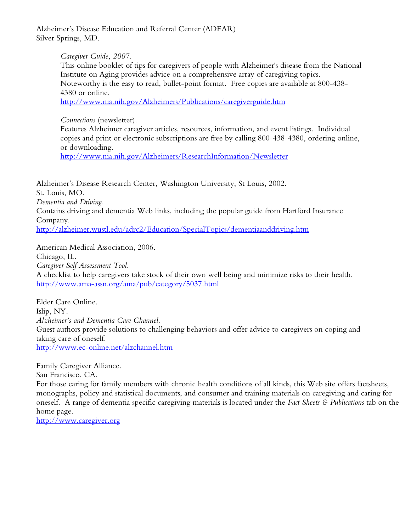Alzheimer's Disease Education and Referral Center (ADEAR) Silver Springs, MD.

*Caregiver Guide, 2007.* 

This online booklet of tips for caregivers of people with Alzheimer's disease from the National Institute on Aging provides advice on a comprehensive array of caregiving topics. Noteworthy is the easy to read, bullet-point format. Free copies are available at 800-438- 4380 or online.

<http://www.nia.nih.gov/Alzheimers/Publications/caregiverguide.htm>

*Connections* (newsletter)*.* 

Features Alzheimer caregiver articles, resources, information, and event listings. Individual copies and print or electronic subscriptions are free by calling 800-438-4380, ordering online, or downloading.

<http://www.nia.nih.gov/Alzheimers/ResearchInformation/Newsletter>

Alzheimer's Disease Research Center, Washington University, St Louis, 2002. St. Louis, MO. *Dementia and Driving.*  Contains driving and dementia Web links, including the popular guide from Hartford Insurance Company. <http://alzheimer.wustl.edu/adrc2/Education/SpecialTopics/dementiaanddriving.htm>

American Medical Association, 2006. Chicago, IL. *Caregiver Self Assessment Tool.*  A checklist to help caregivers take stock of their own well being and minimize risks to their health. <http://www.ama-assn.org/ama/pub/category/5037.html>

Elder Care Online. Islip, NY. *Alzheimer's and Dementia Care Channel.*  Guest authors provide solutions to challenging behaviors and offer advice to caregivers on coping and taking care of oneself. <http://www.ec-online.net/alzchannel.htm>

Family Caregiver Alliance.

San Francisco, CA.

For those caring for family members with chronic health conditions of all kinds, this Web site offers factsheets, monographs, policy and statistical documents, and consumer and training materials on caregiving and caring for oneself. A range of dementia specific caregiving materials is located under the *Fact Sheets & Publications* tab on the home page.

[http://www.caregiver.org](http://www.caregiver.org/)